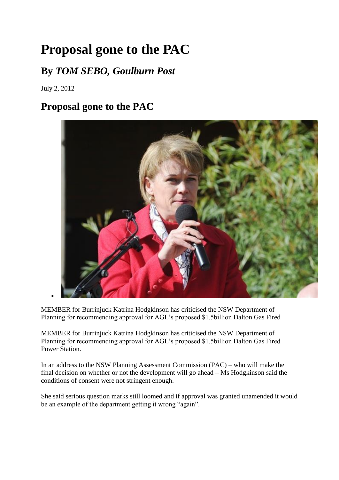## **Proposal gone to the PAC**

## **By** *TOM SEBO, Goulburn Post*

July 2, 2012

## **Proposal gone to the PAC**



MEMBER for Burrinjuck Katrina Hodgkinson has criticised the NSW Department of Planning for recommending approval for AGL's proposed \$1.5billion Dalton Gas Fired

MEMBER for Burrinjuck Katrina Hodgkinson has criticised the NSW Department of Planning for recommending approval for AGL's proposed \$1.5billion Dalton Gas Fired Power Station.

In an address to the NSW Planning Assessment Commission (PAC) – who will make the final decision on whether or not the development will go ahead – Ms Hodgkinson said the conditions of consent were not stringent enough.

She said serious question marks still loomed and if approval was granted unamended it would be an example of the department getting it wrong "again".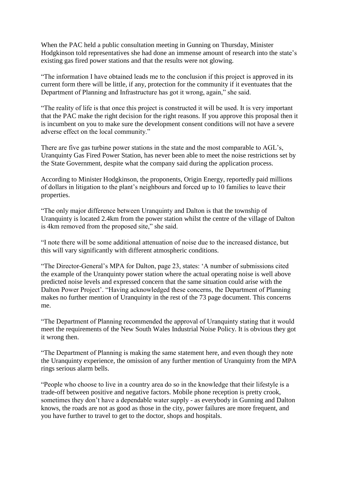When the PAC held a public consultation meeting in Gunning on Thursday, Minister Hodgkinson told representatives she had done an immense amount of research into the state's existing gas fired power stations and that the results were not glowing.

"The information I have obtained leads me to the conclusion if this project is approved in its current form there will be little, if any, protection for the community if it eventuates that the Department of Planning and Infrastructure has got it wrong, again," she said.

"The reality of life is that once this project is constructed it will be used. It is very important that the PAC make the right decision for the right reasons. If you approve this proposal then it is incumbent on you to make sure the development consent conditions will not have a severe adverse effect on the local community."

There are five gas turbine power stations in the state and the most comparable to AGL's, Uranquinty Gas Fired Power Station, has never been able to meet the noise restrictions set by the State Government, despite what the company said during the application process.

According to Minister Hodgkinson, the proponents, Origin Energy, reportedly paid millions of dollars in litigation to the plant's neighbours and forced up to 10 families to leave their properties.

"The only major difference between Uranquinty and Dalton is that the township of Uranquinty is located 2.4km from the power station whilst the centre of the village of Dalton is 4km removed from the proposed site," she said.

"I note there will be some additional attenuation of noise due to the increased distance, but this will vary significantly with different atmospheric conditions.

"The Director-General's MPA for Dalton, page 23, states: 'A number of submissions cited the example of the Uranquinty power station where the actual operating noise is well above predicted noise levels and expressed concern that the same situation could arise with the Dalton Power Project'. "Having acknowledged these concerns, the Department of Planning makes no further mention of Uranquinty in the rest of the 73 page document. This concerns me.

"The Department of Planning recommended the approval of Uranquinty stating that it would meet the requirements of the New South Wales Industrial Noise Policy. It is obvious they got it wrong then.

"The Department of Planning is making the same statement here, and even though they note the Uranquinty experience, the omission of any further mention of Uranquinty from the MPA rings serious alarm bells.

"People who choose to live in a country area do so in the knowledge that their lifestyle is a trade-off between positive and negative factors. Mobile phone reception is pretty crook, sometimes they don't have a dependable water supply - as everybody in Gunning and Dalton knows, the roads are not as good as those in the city, power failures are more frequent, and you have further to travel to get to the doctor, shops and hospitals.